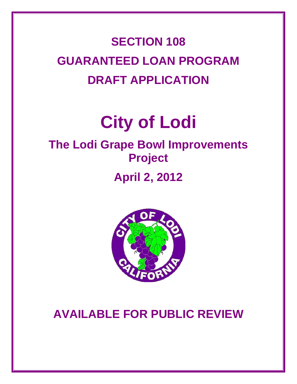## **SECTION 108 GUARANTEED LOAN PROGRAM DRAFT APPLICATION**

# **City of Lodi**

## **The Lodi Grape Bowl Improvements Project April 2, 2012**



### **AVAILABLE FOR PUBLIC REVIEW**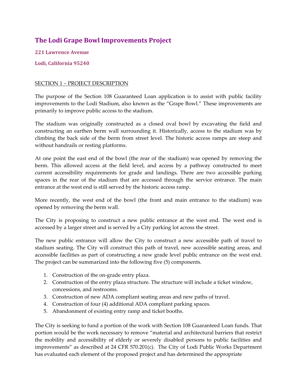### **The Lodi Grape Bowl Improvements Project**

**221 Lawrence Avenue**

**Lodi, California 95240**

#### SECTION 1 – PROJECT DESCRIPTION

The purpose of the Section 108 Guaranteed Loan application is to assist with public facility improvements to the Lodi Stadium, also known as the "Grape Bowl." These improvements are primarily to improve public access to the stadium.

The stadium was originally constructed as a closed oval bowl by excavating the field and constructing an earthen berm wall surrounding it. Historically, access to the stadium was by climbing the back side of the berm from street level. The historic access ramps are steep and without handrails or resting platforms.

At one point the east end of the bowl (the rear of the stadium) was opened by removing the berm. This allowed access at the field level, and access by a pathway constructed to meet current accessibility requirements for grade and landings. There are two accessible parking spaces in the rear of the stadium that are accessed through the service entrance. The main entrance at the west end is still served by the historic access ramp.

More recently, the west end of the bowl (the front and main entrance to the stadium) was opened by removing the berm wall.

The City is proposing to construct a new public entrance at the west end. The west end is accessed by a larger street and is served by a City parking lot across the street.

The new public entrance will allow the City to construct a new accessible path of travel to stadium seating. The City will construct this path of travel, new accessible seating areas, and accessible facilities as part of constructing a new grade level public entrance on the west end. The project can be summarized into the following five (5) components.

- 1. Construction of the on‐grade entry plaza.
- 2. Construction of the entry plaza structure. The structure will include a ticket window, concessions, and restrooms.
- 3. Construction of new ADA compliant seating areas and new paths of travel.
- 4. Construction of four (4) additional ADA compliant parking spaces.
- 5. Abandonment of existing entry ramp and ticket booths.

The City is seeking to fund a portion of the work with Section 108 Guaranteed Loan funds. That portion would be the work necessary to remove "material and architectural barriers that restrict the mobility and accessibility of elderly or severely disabled persons to public facilities and improvements" as described at 24 CFR 570.201(c). The City of Lodi Public Works Department has evaluated each element of the proposed project and has determined the appropriate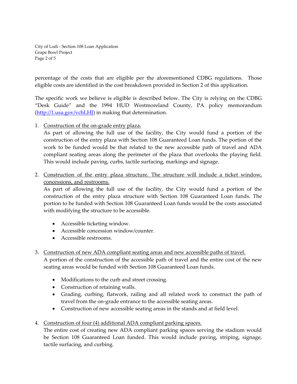City of Lodi ‐ Section 108 Loan Application Grape Bowl Project Page 2 of 5

percentage of the costs that are eligible per the aforementioned CDBG regulations. Those eligible costs are identified in the cost breakdown provided in Section 2 of this application.

The specific work we believe is eligible is described below. The City is relying on the CDBG "Desk Guide" and the 1994 HUD Westmoreland County, PA policy memorandum (http://1.usa.gov/vchLHI) in making that determination.

1. Construction of the on‐grade entry plaza.

As part of allowing the full use of the facility, the City would fund a portion of the construction of the entry plaza with Section 108 Guaranteed Loan funds. The portion of the work to be funded would be that related to the new accessible path of travel and ADA compliant seating areas along the perimeter of the plaza that overlooks the playing field. This would include paving, curbs, tactile surfacing, markings and signage.

2. Construction of the entry plaza structure. The structure will include a ticket window, concessions, and restrooms.

As part of allowing the full use of the facility, the City would fund a portion of the construction of the entry plaza structure with Section 108 Guaranteed Loan funds. The portion to be funded with Section 108 Guaranteed Loan funds would be the costs associated with modifying the structure to be accessible.

- Accessible ticketing window.
- Accessible concession window/counter.
- Accessible restrooms.

#### 3. Construction of new ADA compliant seating areas and new accessible paths of travel.

A portion of the construction of the accessible path of travel and the entire cost of the new seating areas would be funded with Section 108 Guaranteed Loan funds.

- Modifications to the curb and street crossing.
- Construction of retaining walls.
- Grading, curbing, flatwork, railing and all related work to construct the path of travel from the on‐grade entrance to the accessible seating areas.
- Construction of new accessible seating areas in the stands and at field level.
- 4. Construction of four (4) additional ADA compliant parking spaces.

The entire cost of creating new ADA compliant parking spaces serving the stadium would be Section 108 Guaranteed Loan funded. This would include paving, striping, signage, tactile surfacing, and curbing.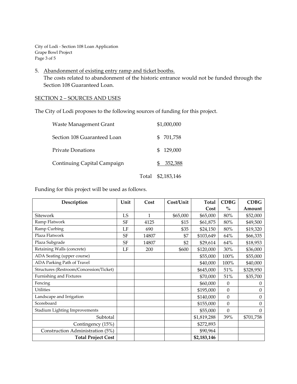City of Lodi ‐ Section 108 Loan Application Grape Bowl Project Page 3 of 5

5. Abandonment of existing entry ramp and ticket booths. The costs related to abandonment of the historic entrance would not be funded through the Section 108 Guaranteed Loan.

#### SECTION 2 – SOURCES AND USES

The City of Lodi proposes to the following sources of funding for this project.

| <b>Waste Management Grant</b> |       |     | \$1,000,000 |
|-------------------------------|-------|-----|-------------|
| Section 108 Guaranteed Loan   |       | \$. | 701,758     |
| <b>Private Donations</b>      |       |     | \$129,000   |
| Continuing Capital Campaign   |       |     | 352,388     |
|                               | Total |     | \$2,183,146 |

Funding for this project will be used as follows.

| Description                             | Unit      | Cost  | Cost/Unit | <b>Total</b> | <b>CDBG</b>      | <b>CDBG</b> |
|-----------------------------------------|-----------|-------|-----------|--------------|------------------|-------------|
|                                         |           |       |           | Cost         | $\%$             | Amount      |
| Sitework                                | LS        | 1     | \$65,000  | \$65,000     | 80%              | \$52,000    |
| Ramp Flatwork                           | <b>SF</b> | 4125  | \$15      | \$61,875     | 80%              | \$49,500    |
| Ramp Curbing                            | LF        | 690   | \$35      | \$24,150     | 80%              | \$19,320    |
| Plaza Flatwork                          | <b>SF</b> | 14807 | \$7       | \$103,649    | 64%              | \$66,335    |
| Plaza Subgrade                          | SF        | 14807 | \$2       | \$29,614     | 64%              | \$18,953    |
| Retaining Walls (concrete)              | LF        | 200   | \$600     | \$120,000    | 30%              | \$36,000    |
| ADA Seating (upper course)              |           |       |           | \$55,000     | 100%             | \$55,000    |
| ADA Parking Path of Travel              |           |       |           | \$40,000     | 100%             | \$40,000    |
| Structures (Restroom/Concession/Ticket) |           |       |           | \$645,000    | 51%              | \$328,950   |
| Furnishing and Fixtures                 |           |       |           | \$70,000     | 51%              | \$35,700    |
| Fencing                                 |           |       |           | \$60,000     | $\mathbf{0}$     | $\Omega$    |
| Utilities                               |           |       |           | \$195,000    | $\boldsymbol{0}$ | $\Omega$    |
| Landscape and Irrigation                |           |       |           | \$140,000    | $\boldsymbol{0}$ | $\theta$    |
| Scoreboard                              |           |       |           | \$155,000    | $\theta$         | $\Omega$    |
| <b>Stadium Lighting Improvements</b>    |           |       |           | \$55,000     | $\theta$         | $\theta$    |
| Subtotal                                |           |       |           | \$1,819,288  | 39%              | \$701,758   |
| Contingency (15%)                       |           |       |           | \$272,893    |                  |             |
| Construction Administration (5%)        |           |       |           | \$90,964     |                  |             |
| <b>Total Project Cost</b>               |           |       |           | \$2,183,146  |                  |             |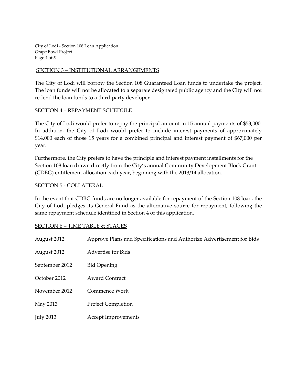City of Lodi ‐ Section 108 Loan Application Grape Bowl Project Page 4 of 5

#### SECTION 3 – INSTITUTIONAL ARRANGEMENTS

The City of Lodi will borrow the Section 108 Guaranteed Loan funds to undertake the project. The loan funds will not be allocated to a separate designated public agency and the City will not re‐lend the loan funds to a third‐party developer.

#### SECTION 4 – REPAYMENT SCHEDULE

The City of Lodi would prefer to repay the principal amount in 15 annual payments of \$53,000. In addition, the City of Lodi would prefer to include interest payments of approximately \$14,000 each of those 15 years for a combined principal and interest payment of \$67,000 per year.

Furthermore, the City prefers to have the principle and interest payment installments for the Section 108 loan drawn directly from the City's annual Community Development Block Grant (CDBG) entitlement allocation each year, beginning with the 2013/14 allocation.

#### SECTION 5 ‐ COLLATERAL

In the event that CDBG funds are no longer available for repayment of the Section 108 loan, the City of Lodi pledges its General Fund as the alternative source for repayment, following the same repayment schedule identified in Section 4 of this application.

#### SECTION 6 – TIME TABLE & STAGES

| August 2012      | Approve Plans and Specifications and Authorize Advertisement for Bids |
|------------------|-----------------------------------------------------------------------|
| August 2012      | <b>Advertise for Bids</b>                                             |
| September 2012   | <b>Bid Opening</b>                                                    |
| October 2012     | <b>Award Contract</b>                                                 |
| November 2012    | Commence Work                                                         |
| May 2013         | <b>Project Completion</b>                                             |
| <b>July 2013</b> | Accept Improvements                                                   |